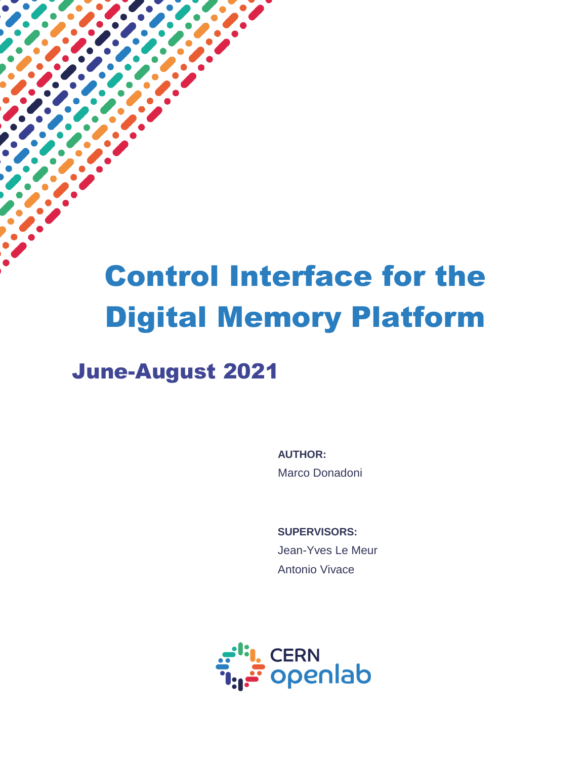# Control Interface for the Digital Memory Platform

# June-August 2021

 $\overline{a}$ 

**AUTHOR:** Marco Donadoni

**SUPERVISORS:** Jean-Yves Le Meur Antonio Vivace

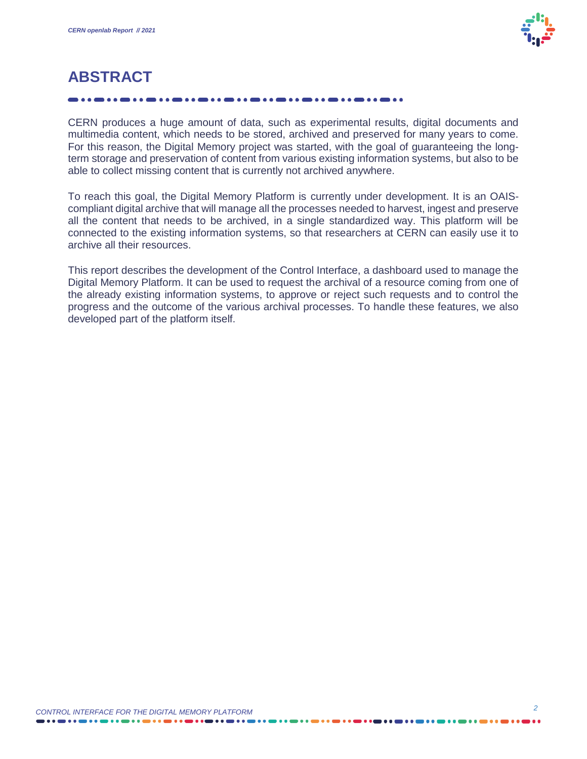

# **ABSTRACT**

CERN produces a huge amount of data, such as experimental results, digital documents and multimedia content, which needs to be stored, archived and preserved for many years to come. For this reason, the Digital Memory project was started, with the goal of guaranteeing the longterm storage and preservation of content from various existing information systems, but also to be able to collect missing content that is currently not archived anywhere.

To reach this goal, the Digital Memory Platform is currently under development. It is an OAIScompliant digital archive that will manage all the processes needed to harvest, ingest and preserve all the content that needs to be archived, in a single standardized way. This platform will be connected to the existing information systems, so that researchers at CERN can easily use it to archive all their resources.

This report describes the development of the Control Interface, a dashboard used to manage the Digital Memory Platform. It can be used to request the archival of a resource coming from one of the already existing information systems, to approve or reject such requests and to control the progress and the outcome of the various archival processes. To handle these features, we also developed part of the platform itself.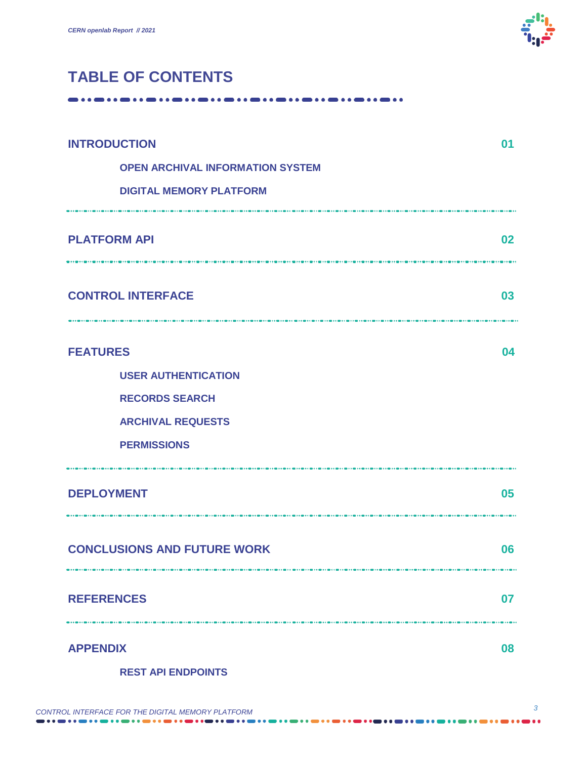

## **TABLE OF CONTENTS**

-----------------------------------

| <b>INTRODUCTION</b>                          | 01 |
|----------------------------------------------|----|
| <b>OPEN ARCHIVAL INFORMATION SYSTEM</b>      |    |
| <b>DIGITAL MEMORY PLATFORM</b>               |    |
| <b>PLATFORM API</b>                          | 02 |
| <b>CONTROL INTERFACE</b>                     | 03 |
| <b>FEATURES</b>                              | 04 |
| <b>USER AUTHENTICATION</b>                   |    |
| <b>RECORDS SEARCH</b>                        |    |
| <b>ARCHIVAL REQUESTS</b>                     |    |
| <b>PERMISSIONS</b>                           |    |
| <b>DEPLOYMENT</b>                            | 05 |
| <b>CONCLUSIONS AND FUTURE WORK</b>           | 06 |
| <b>REFERENCES</b>                            | 07 |
| <b>APPENDIX</b><br><b>REST API ENDPOINTS</b> | 08 |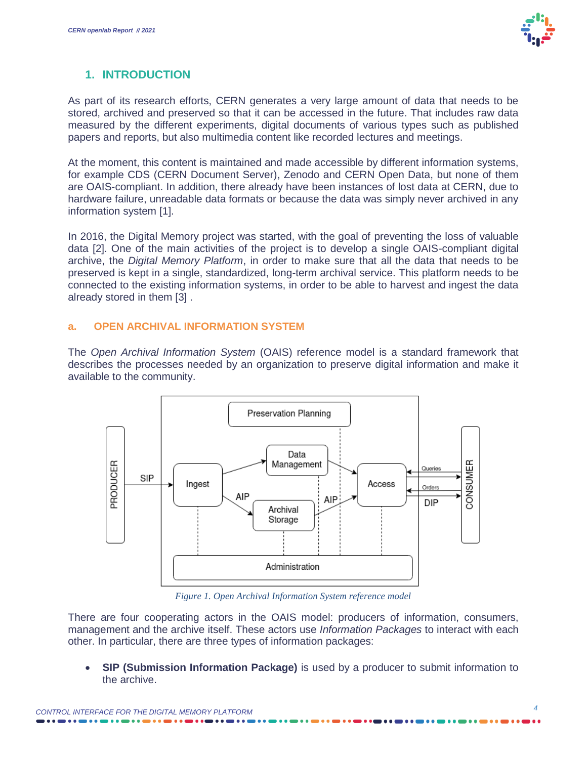

### **1. INTRODUCTION**

As part of its research efforts, CERN generates a very large amount of data that needs to be stored, archived and preserved so that it can be accessed in the future. That includes raw data measured by the different experiments, digital documents of various types such as published papers and reports, but also multimedia content like recorded lectures and meetings.

At the moment, this content is maintained and made accessible by different information systems, for example CDS (CERN Document Server), Zenodo and CERN Open Data, but none of them are OAIS-compliant. In addition, there already have been instances of lost data at CERN, due to hardware failure, unreadable data formats or because the data was simply never archived in any information system [\[1\].](#page-9-0)

In 2016, the Digital Memory project was started, with the goal of preventing the loss of valuable data [\[2\].](#page-9-1) One of the main activities of the project is to develop a single OAIS-compliant digital archive, the *Digital Memory Platform*, in order to make sure that all the data that needs to be preserved is kept in a single, standardized, long-term archival service. This platform needs to be connected to the existing information systems, in order to be able to harvest and ingest the data already stored in them [\[3\]](#page-9-2) .

#### **a. OPEN ARCHIVAL INFORMATION SYSTEM**

The *Open Archival Information System* (OAIS) reference model is a standard framework that describes the processes needed by an organization to preserve digital information and make it available to the community.



*Figure 1. Open Archival Information System reference model*

There are four cooperating actors in the OAIS model: producers of information, consumers, management and the archive itself. These actors use *Information Packages* to interact with each other. In particular, there are three types of information packages:

 **SIP (Submission Information Package)** is used by a producer to submit information to the archive.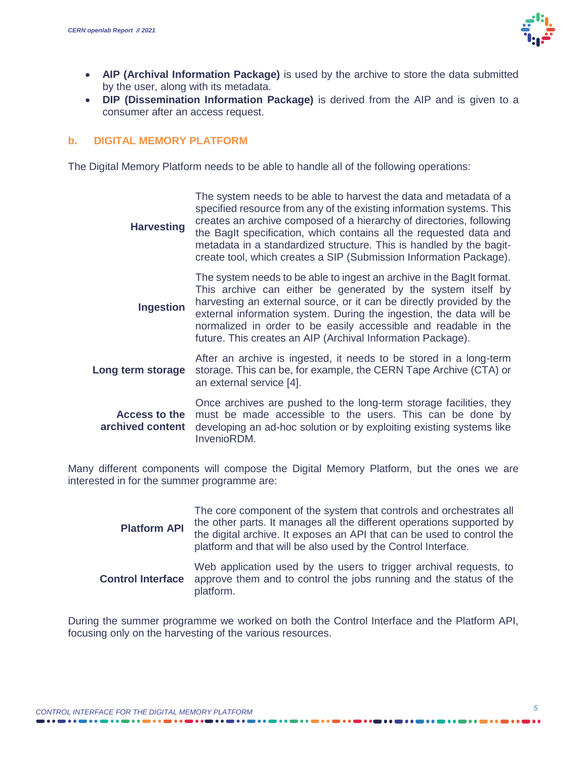

- **AIP (Archival Information Package)** is used by the archive to store the data submitted by the user, along with its metadata.
- **DIP (Dissemination Information Package)** is derived from the AIP and is given to a consumer after an access request.

#### **b. DIGITAL MEMORY PLATFORM**

The Digital Memory Platform needs to be able to handle all of the following operations:

| <b>Harvesting</b>                        | The system needs to be able to harvest the data and metadata of a<br>specified resource from any of the existing information systems. This<br>creates an archive composed of a hierarchy of directories, following<br>the BagIt specification, which contains all the requested data and<br>metadata in a standardized structure. This is handled by the bagit-<br>create tool, which creates a SIP (Submission Information Package). |
|------------------------------------------|---------------------------------------------------------------------------------------------------------------------------------------------------------------------------------------------------------------------------------------------------------------------------------------------------------------------------------------------------------------------------------------------------------------------------------------|
| <b>Ingestion</b>                         | The system needs to be able to ingest an archive in the BagIt format.<br>This archive can either be generated by the system itself by<br>harvesting an external source, or it can be directly provided by the<br>external information system. During the ingestion, the data will be<br>normalized in order to be easily accessible and readable in the<br>future. This creates an AIP (Archival Information Package).                |
| Long term storage                        | After an archive is ingested, it needs to be stored in a long-term<br>storage. This can be, for example, the CERN Tape Archive (CTA) or<br>an external service [4].                                                                                                                                                                                                                                                                   |
| <b>Access to the</b><br>archived content | Once archives are pushed to the long-term storage facilities, they<br>must be made accessible to the users. This can be done by<br>developing an ad-hoc solution or by exploiting existing systems like<br>InvenioRDM.                                                                                                                                                                                                                |

Many different components will compose the Digital Memory Platform, but the ones we are interested in for the summer programme are:

| <b>Platform API</b>      | The core component of the system that controls and orchestrates all<br>the other parts. It manages all the different operations supported by<br>the digital archive. It exposes an API that can be used to control the<br>platform and that will be also used by the Control Interface. |
|--------------------------|-----------------------------------------------------------------------------------------------------------------------------------------------------------------------------------------------------------------------------------------------------------------------------------------|
| <b>Control Interface</b> | Web application used by the users to trigger archival requests, to<br>approve them and to control the jobs running and the status of the<br>platform.                                                                                                                                   |

During the summer programme we worked on both the Control Interface and the Platform API, focusing only on the harvesting of the various resources.

. . . . . .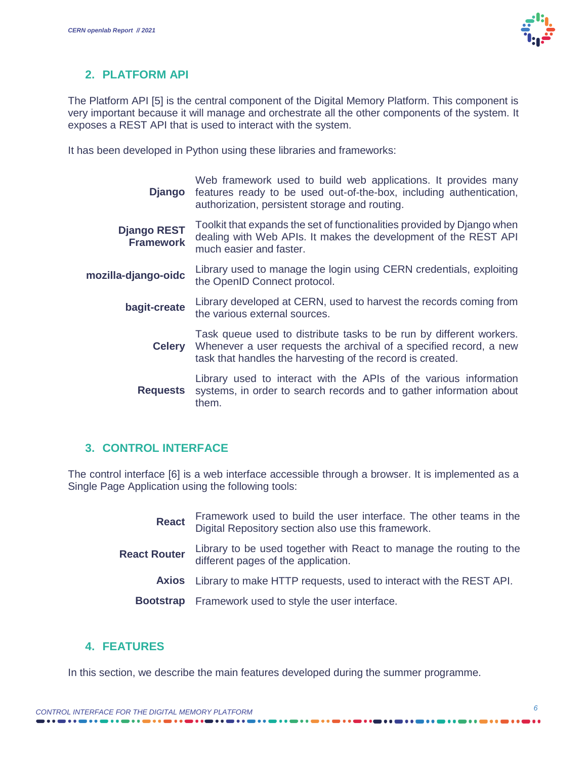

#### **2. PLATFORM API**

The Platform API [\[5\]](#page-9-4) is the central component of the Digital Memory Platform. This component is very important because it will manage and orchestrate all the other components of the system. It exposes a REST API that is used to interact with the system.

It has been developed in Python using these libraries and frameworks:

| Django                                 | Web framework used to build web applications. It provides many<br>features ready to be used out-of-the-box, including authentication,<br>authorization, persistent storage and routing.                               |
|----------------------------------------|-----------------------------------------------------------------------------------------------------------------------------------------------------------------------------------------------------------------------|
| <b>Django REST</b><br><b>Framework</b> | Toolkit that expands the set of functionalities provided by Django when<br>dealing with Web APIs. It makes the development of the REST API<br>much easier and faster.                                                 |
| mozilla-django-oidc                    | Library used to manage the login using CERN credentials, exploiting<br>the OpenID Connect protocol.                                                                                                                   |
| bagit-create                           | Library developed at CERN, used to harvest the records coming from<br>the various external sources.                                                                                                                   |
|                                        | Task queue used to distribute tasks to be run by different workers.<br><b>Celery</b> Whenever a user requests the archival of a specified record, a new<br>task that handles the harvesting of the record is created. |
| <b>Requests</b>                        | Library used to interact with the APIs of the various information<br>systems, in order to search records and to gather information about<br>them.                                                                     |
|                                        |                                                                                                                                                                                                                       |

#### **3. CONTROL INTERFACE**

The control interface [\[6\]](#page-9-5) is a web interface accessible through a browser. It is implemented as a Single Page Application using the following tools:

| <b>React</b>        | Framework used to build the user interface. The other teams in the Digital Repository section also use this framework. |  |  |  |
|---------------------|------------------------------------------------------------------------------------------------------------------------|--|--|--|
| <b>React Router</b> | Library to be used together with React to manage the routing to the<br>different pages of the application.             |  |  |  |
|                     | <b>Axios</b> Library to make HTTP requests, used to interact with the REST API.                                        |  |  |  |
|                     | Bootstrap Framework used to style the user interface.                                                                  |  |  |  |

#### **4. FEATURES**

In this section, we describe the main features developed during the summer programme.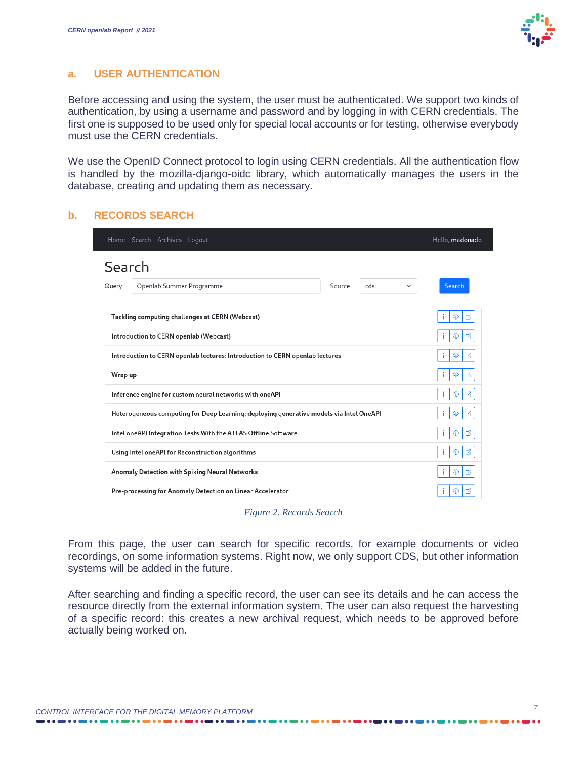#### **a. USER AUTHENTICATION**

Before accessing and using the system, the user must be authenticated. We support two kinds of authentication, by using a username and password and by logging in with CERN credentials. The first one is supposed to be used only for special local accounts or for testing, otherwise everybody must use the CERN credentials.

We use the OpenID Connect protocol to login using CERN credentials. All the authentication flow is handled by the mozilla-django-oidc library, which automatically manages the users in the database, creating and updating them as necessary.

#### **b. RECORDS SEARCH**

| Home Search Archives Logout                                                                       | Hello, madonado        |  |  |
|---------------------------------------------------------------------------------------------------|------------------------|--|--|
| Search<br>Openlab Summer Programme<br>Source<br>cds<br>Query                                      | Search<br>$\checkmark$ |  |  |
| Tackling computing challenges at CERN (Webcast)                                                   | i<br>⊕<br>₫            |  |  |
| Introduction to CERN openlab (Webcast)                                                            | ⊕<br>₫<br>Ť.           |  |  |
| Introduction to CERN openlab lectures: Introduction to CERN openlab lectures<br>Φ                 |                        |  |  |
| ₫<br>Wrap up<br>÷<br>⊕                                                                            |                        |  |  |
| Inference engine for custom neural networks with oneAPI                                           | ₫<br>÷<br>⊕            |  |  |
| ₫<br>Heterogeneous computing for Deep Learning: deploying generative models via Intel OneAPI<br>⊕ |                        |  |  |
| Intel oneAPI Integration Tests With the ATLAS Offline Software                                    | ₫<br>⊕<br>i.           |  |  |
| Using Intel oneAPI for Reconstruction algorithms                                                  | i.<br>₫<br>⊕           |  |  |
| Anomaly Detection with Spiking Neural Networks                                                    | ₫<br>⊕<br>Ť.           |  |  |
| Pre-processing for Anomaly Detection on Linear Accelerator<br>M<br>⊕<br>1                         |                        |  |  |

*Figure 2. Records Search*

From this page, the user can search for specific records, for example documents or video recordings, on some information systems. Right now, we only support CDS, but other information systems will be added in the future.

After searching and finding a specific record, the user can see its details and he can access the resource directly from the external information system. The user can also request the harvesting of a specific record: this creates a new archival request, which needs to be approved before actually being worked on.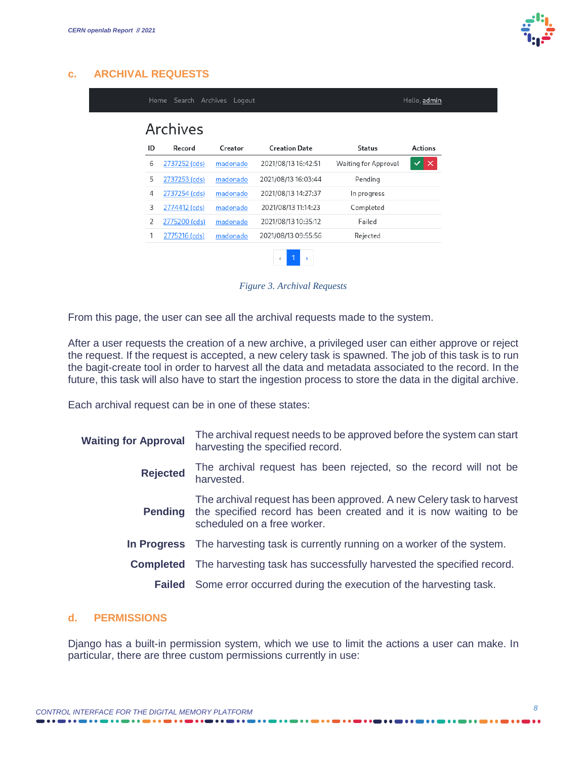

|    | Archives      |          |                      |                      |                          |
|----|---------------|----------|----------------------|----------------------|--------------------------|
| ID | Record        | Creator  | <b>Creation Date</b> | <b>Status</b>        | <b>Actions</b>           |
| 6  | 2737252 (cds) | madonado | 2021/08/13 16:42:51  | Waiting for Approval | $\checkmark$<br>$\times$ |
| 5  | 2737253 (cds) | madonado | 2021/08/13 16:03:44  | Pending              |                          |
| 4  | 2737254 (cds) | madonado | 2021/08/13 14:27:37  | In progress          |                          |
| 3  | 2774412 (cds) | madonado | 2021/08/13 11:14:23  | Completed            |                          |
| 2  | 2775200 (cds) | madonado | 2021/08/13 10:35:12  | Failed               |                          |
| 1  | 2775216 (cds) | madonado | 2021/08/13 09:55:56  | Rejected             |                          |

*Figure 3. Archival Requests*

From this page, the user can see all the archival requests made to the system.

After a user requests the creation of a new archive, a privileged user can either approve or reject the request. If the request is accepted, a new celery task is spawned. The job of this task is to run the bagit-create tool in order to harvest all the data and metadata associated to the record. In the future, this task will also have to start the ingestion process to store the data in the digital archive.

Each archival request can be in one of these states:

| <b>Waiting for Approval</b> | The archival request needs to be approved before the system can start<br>harvesting the specified record.                                                                |
|-----------------------------|--------------------------------------------------------------------------------------------------------------------------------------------------------------------------|
| <b>Rejected</b>             | The archival request has been rejected, so the record will not be<br>harvested.                                                                                          |
| <b>Pending</b>              | The archival request has been approved. A new Celery task to harvest<br>the specified record has been created and it is now waiting to be<br>scheduled on a free worker. |
|                             | In Progress The harvesting task is currently running on a worker of the system.                                                                                          |
|                             | <b>Completed</b> The harvesting task has successfully harvested the specified record.                                                                                    |
|                             | <b>Failed</b> Some error occurred during the execution of the harvesting task.                                                                                           |

#### **d. PERMISSIONS**

Django has a built-in permission system, which we use to limit the actions a user can make. In particular, there are three custom permissions currently in use: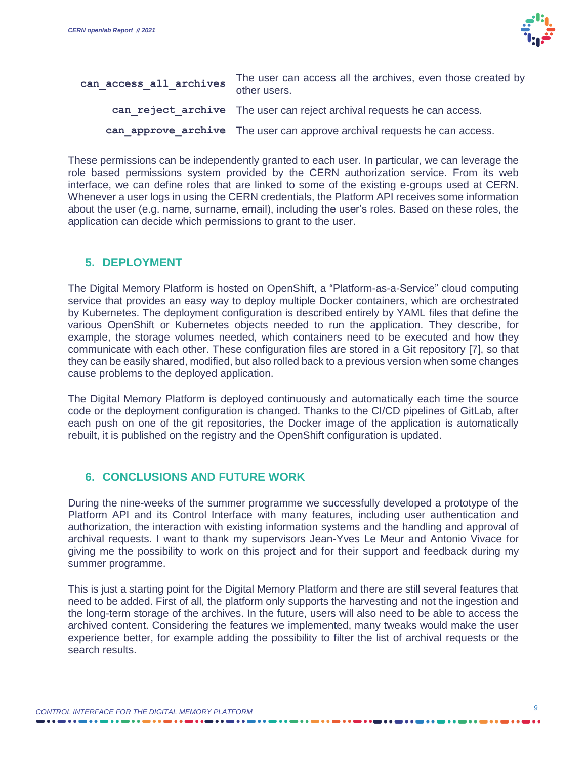

| can access all archives | The user can access all the archives, even those created by<br>other users. |
|-------------------------|-----------------------------------------------------------------------------|
|                         | can reject archive The user can reject archival requests he can access.     |
|                         | can approve archive The user can approve archival requests he can access.   |

These permissions can be independently granted to each user. In particular, we can leverage the role based permissions system provided by the CERN authorization service. From its web interface, we can define roles that are linked to some of the existing e-groups used at CERN. Whenever a user logs in using the CERN credentials, the Platform API receives some information about the user (e.g. name, surname, email), including the user's roles. Based on these roles, the application can decide which permissions to grant to the user.

#### **5. DEPLOYMENT**

The Digital Memory Platform is hosted on OpenShift, a "Platform-as-a-Service" cloud computing service that provides an easy way to deploy multiple Docker containers, which are orchestrated by Kubernetes. The deployment configuration is described entirely by YAML files that define the various OpenShift or Kubernetes objects needed to run the application. They describe, for example, the storage volumes needed, which containers need to be executed and how they communicate with each other. These configuration files are stored in a Git repository [\[7\],](#page-9-6) so that they can be easily shared, modified, but also rolled back to a previous version when some changes cause problems to the deployed application.

The Digital Memory Platform is deployed continuously and automatically each time the source code or the deployment configuration is changed. Thanks to the CI/CD pipelines of GitLab, after each push on one of the git repositories, the Docker image of the application is automatically rebuilt, it is published on the registry and the OpenShift configuration is updated.

#### **6. CONCLUSIONS AND FUTURE WORK**

During the nine-weeks of the summer programme we successfully developed a prototype of the Platform API and its Control Interface with many features, including user authentication and authorization, the interaction with existing information systems and the handling and approval of archival requests. I want to thank my supervisors Jean-Yves Le Meur and Antonio Vivace for giving me the possibility to work on this project and for their support and feedback during my summer programme.

This is just a starting point for the Digital Memory Platform and there are still several features that need to be added. First of all, the platform only supports the harvesting and not the ingestion and the long-term storage of the archives. In the future, users will also need to be able to access the archived content. Considering the features we implemented, many tweaks would make the user experience better, for example adding the possibility to filter the list of archival requests or the search results.